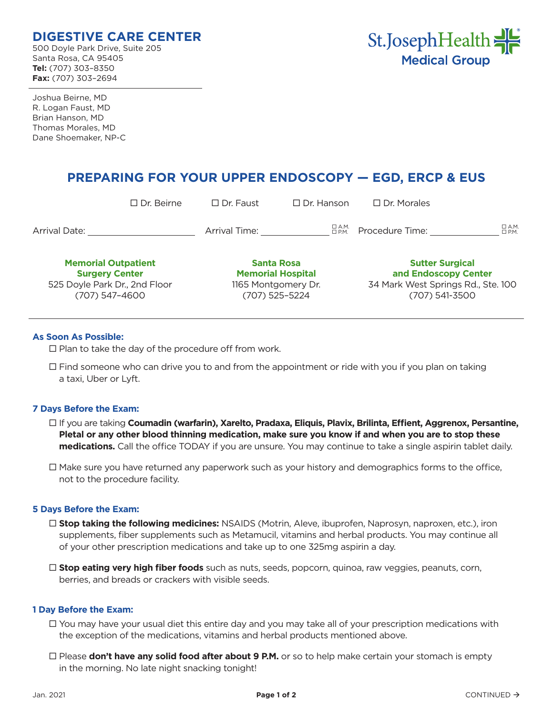# **DIGESTIVE CARE CENTER**

500 Doyle Park Drive, Suite 205 Santa Rosa, CA 95405 **Tel:** (707) 303–8350 **Fax:** (707) 303–2694



Joshua Beirne, MD R. Logan Faust, MD Brian Hanson, MD Thomas Morales, MD Dane Shoemaker, NP-C

# **PREPARING FOR YOUR UPPER ENDOSCOPY — EGD, ERCP & EUS**

|                                                                                                        | $\Box$ Dr. Beirne | $\Box$ Dr. Faust                                                                       | $\Box$ Dr. Hanson | $\Box$ Dr. Morales                                                                                     |                               |
|--------------------------------------------------------------------------------------------------------|-------------------|----------------------------------------------------------------------------------------|-------------------|--------------------------------------------------------------------------------------------------------|-------------------------------|
| <b>Arrival Date:</b>                                                                                   |                   | Arrival Time:                                                                          | □ А.М.<br>□ Р.М.  | Procedure Time:                                                                                        | $\Box$ A.M.<br>$\square$ P.M. |
| <b>Memorial Outpatient</b><br><b>Surgery Center</b><br>525 Doyle Park Dr., 2nd Floor<br>(707) 547-4600 |                   | <b>Santa Rosa</b><br><b>Memorial Hospital</b><br>1165 Montgomery Dr.<br>(707) 525-5224 |                   | <b>Sutter Surgical</b><br>and Endoscopy Center<br>34 Mark West Springs Rd., Ste. 100<br>(707) 541-3500 |                               |

## **As Soon As Possible:**

 $\square$  Plan to take the day of the procedure off from work.

 $\Box$  Find someone who can drive you to and from the appointment or ride with you if you plan on taking a taxi, Uber or Lyft.

## **7 Days Before the Exam:**

- If you are taking **Coumadin (warfarin), Xarelto, Pradaxa, Eliquis, Plavix, Brilinta, Effient, Aggrenox, Persantine, Pletal or any other blood thinning medication, make sure you know if and when you are to stop these medications.** Call the office TODAY if you are unsure. You may continue to take a single aspirin tablet daily.
- $\Box$  Make sure you have returned any paperwork such as your history and demographics forms to the office, not to the procedure facility.

#### **5 Days Before the Exam:**

- **Stop taking the following medicines:** NSAIDS (Motrin, Aleve, ibuprofen, Naprosyn, naproxen, etc.), iron supplements, fiber supplements such as Metamucil, vitamins and herbal products. You may continue all of your other prescription medications and take up to one 325mg aspirin a day.
- **Stop eating very high fiber foods** such as nuts, seeds, popcorn, quinoa, raw veggies, peanuts, corn, berries, and breads or crackers with visible seeds.

#### **1 Day Before the Exam:**

- You may have your usual diet this entire day and you may take all of your prescription medications with the exception of the medications, vitamins and herbal products mentioned above.
- □ Please **don't have any solid food after about 9 P.M.** or so to help make certain your stomach is empty in the morning. No late night snacking tonight!